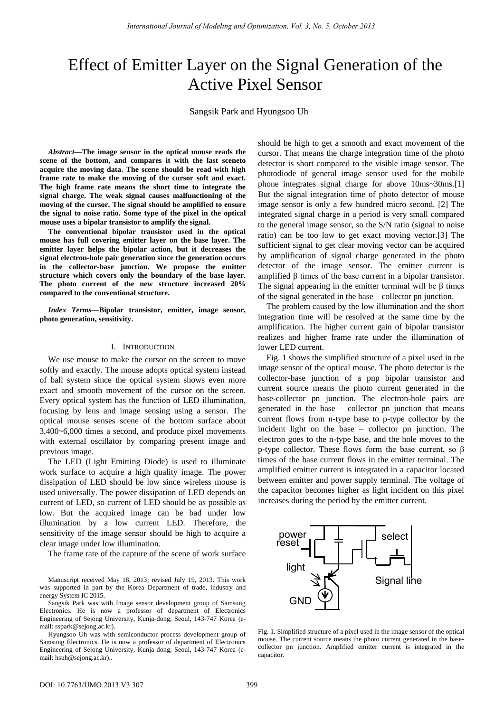# Effect of Emitter Layer on the Signal Generation of the Active Pixel Sensor

Sangsik Park and Hyungsoo Uh

*Abstract—***The image sensor in the optical mouse reads the scene of the bottom, and compares it with the last sceneto acquire the moving data. The scene should be read with high frame rate to make the moving of the cursor soft and exact. The high frame rate means the short time to integrate the signal charge. The weak signal causes malfunctioning of the moving of the cursor. The signal should be amplified to ensure the signal to noise ratio. Some type of the pixel in the optical mouse uses a bipolar transistor to amplify the signal.** 

**The conventional bipolar transistor used in the optical mouse has full covering emitter layer on the base layer. The emitter layer helps the bipolar action, but it decreases the signal electron-hole pair generation since the generation occurs in the collector-base junction. We propose the emitter structure which covers only the boundary of the base layer. The photo current of the new structure increased 20% compared to the conventional structure.** 

*Index Terms—***Bipolar transistor, emitter, image sensor, photo generation, sensitivity.**

### I. INTRODUCTION

We use mouse to make the cursor on the screen to move softly and exactly. The mouse adopts optical system instead of ball system since the optical system shows even more exact and smooth movement of the cursor on the screen. Every optical system has the function of LED illumination, focusing by lens and image sensing using a sensor. The optical mouse senses scene of the bottom surface about 3,400~6,000 times a second, and produce pixel movements with external oscillator by comparing present image and previous image.

The LED (Light Emitting Diode) is used to illuminate work surface to acquire a high quality image. The power dissipation of LED should be low since wireless mouse is used universally. The power dissipation of LED depends on current of LED, so current of LED should be as possible as low. But the acquired image can be bad under low illumination by a low current LED. Therefore, the sensitivity of the image sensor should be high to acquire a clear image under low illumination.

The frame rate of the capture of the scene of work surface

Manuscript received May 18, 2013; revised July 19, 2013. This work was supported in part by the Korea Department of trade, industry and energy System IC 2015.

Sangsik Park was with Image sensor development group of Samsung Electronics. He is now a professor of department of Electronics Engineering of Sejong University, Kunja-dong, Seoul, 143-747 Korea (email: sspark@sejong.ac.kr).

Hyungsoo Uh was with semiconductor process development group of Samsung Electronics. He is now a professor of department of Electronics Engineering of Sejong University, Kunja-dong, Seoul, 143-747 Korea (email: hsuh@sejong.ac.kr)..

should be high to get a smooth and exact movement of the cursor. That means the charge integration time of the photo detector is short compared to the visible image sensor. The photodiode of general image sensor used for the mobile phone integrates signal charge for above 10ms~30ms.[1] But the signal integration time of photo detector of mouse image sensor is only a few hundred micro second. [2] The integrated signal charge in a period is very small compared to the general image sensor, so the S/N ratio (signal to noise ratio) can be too low to get exact moving vector.[3] The sufficient signal to get clear moving vector can be acquired by amplification of signal charge generated in the photo detector of the image sensor. The emitter current is amplified β times of the base current in a bipolar transistor. The signal appearing in the emitter terminal will be  $\beta$  times of the signal generated in the base – collector pn junction.

The problem caused by the low illumination and the short integration time will be resolved at the same time by the amplification. The higher current gain of bipolar transistor realizes and higher frame rate under the illumination of lower LED current.

Fig. 1 shows the simplified structure of a pixel used in the image sensor of the optical mouse. The photo detector is the collector-base junction of a pnp bipolar transistor and current source means the photo current generated in the base-collector pn junction. The electron-hole pairs are generated in the base – collector pn junction that means current flows from n-type base to p-type collector by the incident light on the base – collector pn junction. The electron goes to the n-type base, and the hole moves to the p-type collector. These flows form the base current, so β times of the base current flows in the emitter terminal. The amplified emitter current is integrated in a capacitor located between emitter and power supply terminal. The voltage of the capacitor becomes higher as light incident on this pixel increases during the period by the emitter current.



Fig. 1. Simplified structure of a pixel used in the image sensor of the optical mouse. The current source means the photo current generated in the basecollector pn junction. Amplified emitter current is integrated in the capacitor.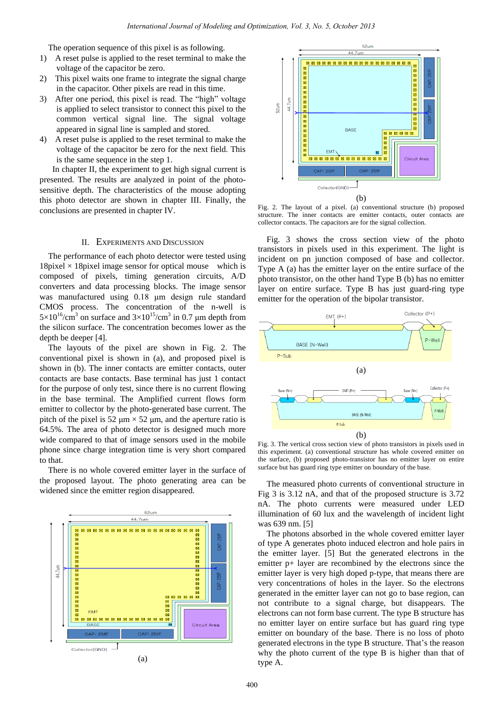The operation sequence of this pixel is as following.

- 1) A reset pulse is applied to the reset terminal to make the voltage of the capacitor be zero.
- 2) This pixel waits one frame to integrate the signal charge in the capacitor. Other pixels are read in this time.
- 3) After one period, this pixel is read. The "high" voltage is applied to select transistor to connect this pixel to the common vertical signal line. The signal voltage appeared in signal line is sampled and stored.
- 4) A reset pulse is applied to the reset terminal to make the voltage of the capacitor be zero for the next field. This is the same sequence in the step 1.

 In chapter II, the experiment to get high signal current is presented. The results are analyzed in point of the photosensitive depth. The characteristics of the mouse adopting this photo detector are shown in chapter III. Finally, the conclusions are presented in chapter IV.

## II. EXPERIMENTS AND DISCUSSION

The performance of each photo detector were tested using 18 pixel  $\times$  18 pixel image sensor for optical mouse which is composed of pixels, timing generation circuits, A/D converters and data processing blocks. The image sensor was manufactured using 0.18 μm design rule standard CMOS process. The concentration of the n-well is  $5 \times 10^{16}$ /cm<sup>3</sup> on surface and  $3 \times 10^{15}$ /cm<sup>3</sup> in 0.7 µm depth from the silicon surface. The concentration becomes lower as the depth be deeper [4].

The layouts of the pixel are shown in Fig. 2. The conventional pixel is shown in (a), and proposed pixel is shown in (b). The inner contacts are emitter contacts, outer contacts are base contacts. Base terminal has just 1 contact for the purpose of only test, since there is no current flowing in the base terminal. The Amplified current flows form emitter to collector by the photo-generated base current. The pitch of the pixel is 52  $\mu$ m  $\times$  52  $\mu$ m, and the aperture ratio is 64.5%. The area of photo detector is designed much more wide compared to that of image sensors used in the mobile phone since charge integration time is very short compared to that.

There is no whole covered emitter layer in the surface of the proposed layout. The photo generating area can be widened since the emitter region disappeared.





Fig. 2. The layout of a pixel. (a) conventional structure (b) proposed structure. The inner contacts are emitter contacts, outer contacts are collector contacts. The capacitors are for the signal collection.

Fig. 3 shows the cross section view of the photo transistors in pixels used in this experiment. The light is incident on pn junction composed of base and collector. Type A (a) has the emitter layer on the entire surface of the photo transistor, on the other hand Type B (b) has no emitter layer on entire surface. Type B has just guard-ring type emitter for the operation of the bipolar transistor.



Fig. 3. The vertical cross section view of photo transistors in pixels used in this experiment. (a) conventional structure has whole covered emitter on the surface, (b) proposed photo-transistor has no emitter layer on entire surface but has guard ring type emitter on boundary of the base.

The measured photo currents of conventional structure in Fig 3 is 3.12 nA, and that of the proposed structure is 3.72 nA. The photo currents were measured under LED illumination of 60 lux and the wavelength of incident light was 639 nm. [5]

The photons absorbed in the whole covered emitter layer of type A generates photo induced electron and hole pairs in the emitter layer. [5] But the generated electrons in the emitter p+ layer are recombined by the electrons since the emitter layer is very high doped p-type, that means there are very concentrations of holes in the layer. So the electrons generated in the emitter layer can not go to base region, can not contribute to a signal charge, but disappears. The electrons can not form base current. The type B structure has no emitter layer on entire surface but has guard ring type emitter on boundary of the base. There is no loss of photo generated electrons in the type B structure. That's the reason why the photo current of the type B is higher than that of type A.